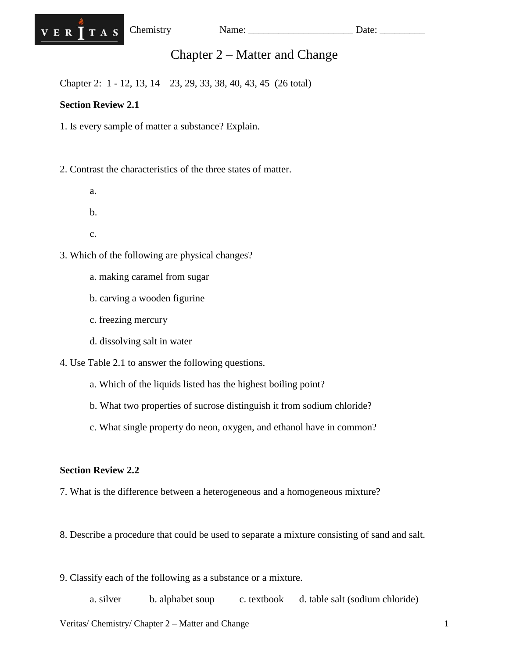

# Chapter 2 – Matter and Change

Chapter 2: 1 - 12, 13, 14 – 23, 29, 33, 38, 40, 43, 45 (26 total)

## **Section Review 2.1**

1. Is every sample of matter a substance? Explain.

2. Contrast the characteristics of the three states of matter.

- a.
- b.
- c.

3. Which of the following are physical changes?

- a. making caramel from sugar
- b. carving a wooden figurine
- c. freezing mercury
- d. dissolving salt in water

4. Use Table 2.1 to answer the following questions.

- a. Which of the liquids listed has the highest boiling point?
- b. What two properties of sucrose distinguish it from sodium chloride?
- c. What single property do neon, oxygen, and ethanol have in common?

### **Section Review 2.2**

- 7. What is the difference between a heterogeneous and a homogeneous mixture?
- 8. Describe a procedure that could be used to separate a mixture consisting of sand and salt.
- 9. Classify each of the following as a substance or a mixture.

a. silver b. alphabet soup c. textbook d. table salt (sodium chloride)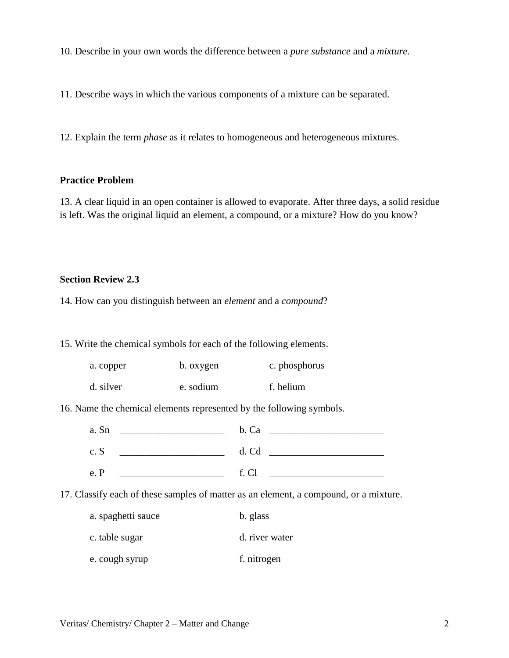10. Describe in your own words the difference between a *pure substance* and a *mixture*.

11. Describe ways in which the various components of a mixture can be separated.

12. Explain the term *phase* as it relates to homogeneous and heterogeneous mixtures.

#### **Practice Problem**

13. A clear liquid in an open container is allowed to evaporate. After three days, a solid residue is left. Was the original liquid an element, a compound, or a mixture? How do you know?

#### **Section Review 2.3**

14. How can you distinguish between an *element* and a *compound*?

15. Write the chemical symbols for each of the following elements.

| a. copper | b. oxygen | c. phosphorus |
|-----------|-----------|---------------|
|           |           |               |

d. silver e. sodium f. helium

16. Name the chemical elements represented by the following symbols.

| a. Sn | b. Ca |
|-------|-------|
| c. S  | d. Cd |
| e. P  | f. Cl |

17. Classify each of these samples of matter as an element, a compound, or a mixture.

- a. spaghetti sauce b. glass
- c. table sugar d. river water
- e. cough syrup f. nitrogen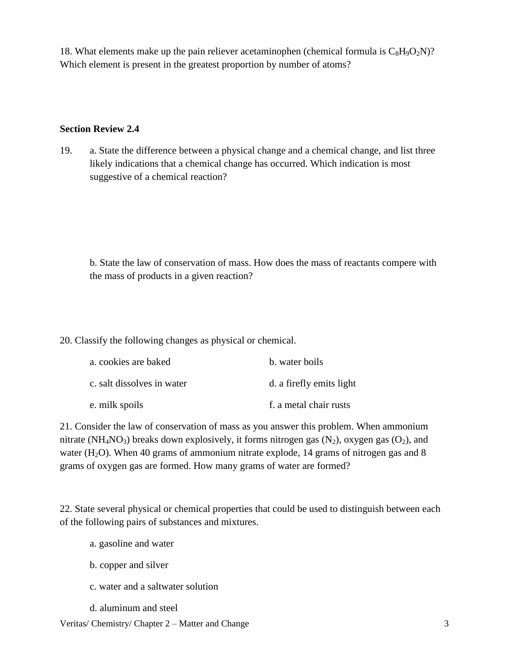18. What elements make up the pain reliever acetaminophen (chemical formula is  $C_8H_9O_2N$ )? Which element is present in the greatest proportion by number of atoms?

#### **Section Review 2.4**

19. a. State the difference between a physical change and a chemical change, and list three likely indications that a chemical change has occurred. Which indication is most suggestive of a chemical reaction?

b. State the law of conservation of mass. How does the mass of reactants compere with the mass of products in a given reaction?

20. Classify the following changes as physical or chemical.

| a. cookies are baked       | b. water boils           |
|----------------------------|--------------------------|
| c. salt dissolves in water | d. a firefly emits light |
| e. milk spoils             | f. a metal chair rusts   |

21. Consider the law of conservation of mass as you answer this problem. When ammonium nitrate (NH<sub>4</sub>NO<sub>3</sub>) breaks down explosively, it forms nitrogen gas (N<sub>2</sub>), oxygen gas (O<sub>2</sub>), and water  $(H<sub>2</sub>O)$ . When 40 grams of ammonium nitrate explode, 14 grams of nitrogen gas and 8 grams of oxygen gas are formed. How many grams of water are formed?

22. State several physical or chemical properties that could be used to distinguish between each of the following pairs of substances and mixtures.

- a. gasoline and water
- b. copper and silver
- c. water and a saltwater solution
- d. aluminum and steel

Veritas/ Chemistry/ Chapter 2 – Matter and Change 3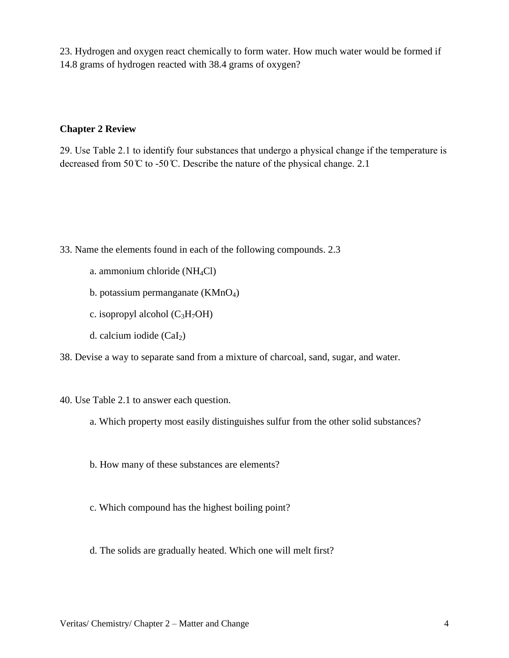23. Hydrogen and oxygen react chemically to form water. How much water would be formed if 14.8 grams of hydrogen reacted with 38.4 grams of oxygen?

#### **Chapter 2 Review**

29. Use Table 2.1 to identify four substances that undergo a physical change if the temperature is decreased from 50  $\degree$  to -50  $\degree$ . Describe the nature of the physical change. 2.1

33. Name the elements found in each of the following compounds. 2.3

- a. ammonium chloride ( $NH<sub>4</sub>Cl$ )
- b. potassium permanganate  $(KMnO<sub>4</sub>)$
- c. isopropyl alcohol  $(C_3H_7OH)$
- d. calcium iodide  $(CaI<sub>2</sub>)$

38. Devise a way to separate sand from a mixture of charcoal, sand, sugar, and water.

- 40. Use Table 2.1 to answer each question.
	- a. Which property most easily distinguishes sulfur from the other solid substances?
	- b. How many of these substances are elements?
	- c. Which compound has the highest boiling point?
	- d. The solids are gradually heated. Which one will melt first?